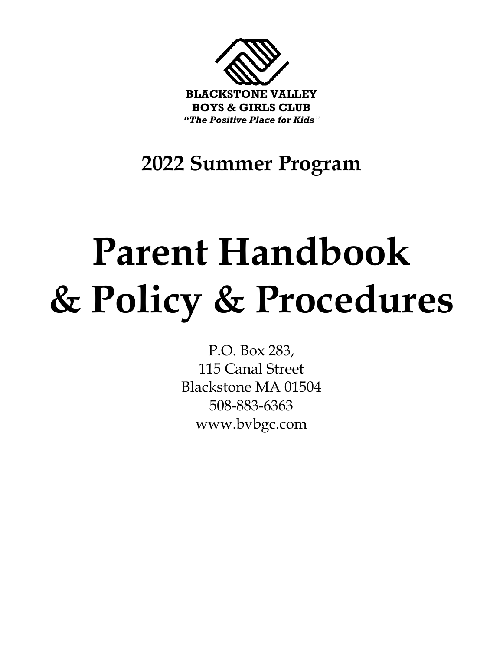

**2022 Summer Program**

# **Parent Handbook & Policy & Procedures**

P.O. Box 283, 115 Canal Street Blackstone MA 01504 508-883-6363 www.bvbgc.com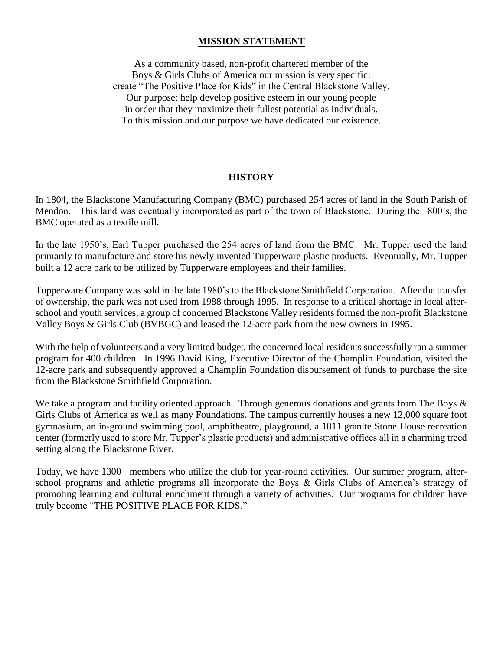#### **MISSION STATEMENT**

As a community based, non-profit chartered member of the Boys & Girls Clubs of America our mission is very specific: create "The Positive Place for Kids" in the Central Blackstone Valley. Our purpose: help develop positive esteem in our young people in order that they maximize their fullest potential as individuals. To this mission and our purpose we have dedicated our existence.

#### **HISTORY**

In 1804, the Blackstone Manufacturing Company (BMC) purchased 254 acres of land in the South Parish of Mendon. This land was eventually incorporated as part of the town of Blackstone. During the 1800's, the BMC operated as a textile mill.

In the late 1950's, Earl Tupper purchased the 254 acres of land from the BMC. Mr. Tupper used the land primarily to manufacture and store his newly invented Tupperware plastic products. Eventually, Mr. Tupper built a 12 acre park to be utilized by Tupperware employees and their families.

Tupperware Company was sold in the late 1980's to the Blackstone Smithfield Corporation. After the transfer of ownership, the park was not used from 1988 through 1995. In response to a critical shortage in local afterschool and youth services, a group of concerned Blackstone Valley residents formed the non-profit Blackstone Valley Boys & Girls Club (BVBGC) and leased the 12-acre park from the new owners in 1995.

With the help of volunteers and a very limited budget, the concerned local residents successfully ran a summer program for 400 children. In 1996 David King, Executive Director of the Champlin Foundation, visited the 12-acre park and subsequently approved a Champlin Foundation disbursement of funds to purchase the site from the Blackstone Smithfield Corporation.

We take a program and facility oriented approach. Through generous donations and grants from The Boys & Girls Clubs of America as well as many Foundations. The campus currently houses a new 12,000 square foot gymnasium, an in-ground swimming pool, amphitheatre, playground, a 1811 granite Stone House recreation center (formerly used to store Mr. Tupper's plastic products) and administrative offices all in a charming treed setting along the Blackstone River.

Today, we have 1300+ members who utilize the club for year-round activities. Our summer program, afterschool programs and athletic programs all incorporate the Boys & Girls Clubs of America's strategy of promoting learning and cultural enrichment through a variety of activities. Our programs for children have truly become "THE POSITIVE PLACE FOR KIDS."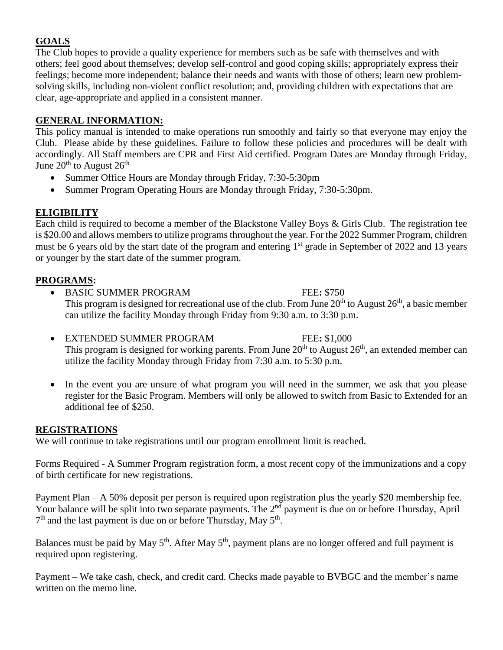# **GOALS**

The Club hopes to provide a quality experience for members such as be safe with themselves and with others; feel good about themselves; develop self-control and good coping skills; appropriately express their feelings; become more independent; balance their needs and wants with those of others; learn new problemsolving skills, including non-violent conflict resolution; and, providing children with expectations that are clear, age-appropriate and applied in a consistent manner.

# **GENERAL INFORMATION:**

This policy manual is intended to make operations run smoothly and fairly so that everyone may enjoy the Club. Please abide by these guidelines. Failure to follow these policies and procedures will be dealt with accordingly. All Staff members are CPR and First Aid certified. Program Dates are Monday through Friday, June  $20^{\text{th}}$  to August  $26^{\text{th}}$ 

- Summer Office Hours are Monday through Friday, 7:30-5:30pm
- Summer Program Operating Hours are Monday through Friday, 7:30-5:30pm.

# **ELIGIBILITY**

Each child is required to become a member of the Blackstone Valley Boys & Girls Club. The registration fee is \$20.00 and allows members to utilize programs throughout the year. For the 2022 Summer Program, children must be 6 years old by the start date of the program and entering 1<sup>st</sup> grade in September of 2022 and 13 years or younger by the start date of the summer program.

### **PROGRAMS:**

- BASIC SUMMER PROGRAM FEE**:** \$750 This program is designed for recreational use of the club. From June  $20<sup>th</sup>$  to August  $26<sup>th</sup>$ , a basic member can utilize the facility Monday through Friday from 9:30 a.m. to 3:30 p.m.
- EXTENDED SUMMER PROGRAM FEE**:** \$1,000 This program is designed for working parents. From June  $20<sup>th</sup>$  to August  $26<sup>th</sup>$ , an extended member can utilize the facility Monday through Friday from 7:30 a.m. to 5:30 p.m.
- In the event you are unsure of what program you will need in the summer, we ask that you please register for the Basic Program. Members will only be allowed to switch from Basic to Extended for an additional fee of \$250.

# **REGISTRATIONS**

We will continue to take registrations until our program enrollment limit is reached.

Forms Required - A Summer Program registration form, a most recent copy of the immunizations and a copy of birth certificate for new registrations.

Payment Plan – A 50% deposit per person is required upon registration plus the yearly \$20 membership fee. Your balance will be split into two separate payments. The 2<sup>nd</sup> payment is due on or before Thursday, April 7<sup>th</sup> and the last payment is due on or before Thursday, May 5<sup>th</sup>.

Balances must be paid by May  $5<sup>th</sup>$ . After May  $5<sup>th</sup>$ , payment plans are no longer offered and full payment is required upon registering.

Payment – We take cash, check, and credit card. Checks made payable to BVBGC and the member's name written on the memo line.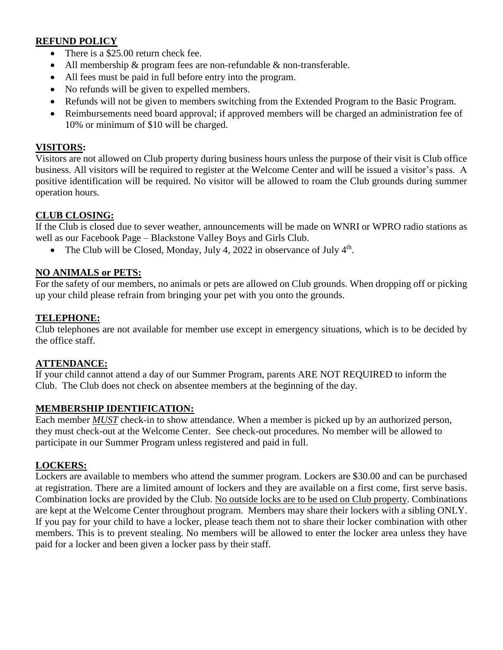# **REFUND POLICY**

- There is a \$25.00 return check fee.
- All membership & program fees are non-refundable & non-transferable.
- All fees must be paid in full before entry into the program.
- No refunds will be given to expelled members.
- Refunds will not be given to members switching from the Extended Program to the Basic Program.
- Reimbursements need board approval; if approved members will be charged an administration fee of 10% or minimum of \$10 will be charged.

#### **VISITORS:**

Visitors are not allowed on Club property during business hours unless the purpose of their visit is Club office business. All visitors will be required to register at the Welcome Center and will be issued a visitor's pass. A positive identification will be required. No visitor will be allowed to roam the Club grounds during summer operation hours.

#### **CLUB CLOSING:**

If the Club is closed due to sever weather, announcements will be made on WNRI or WPRO radio stations as well as our Facebook Page – Blackstone Valley Boys and Girls Club.

• The Club will be Closed, Monday, July 4, 2022 in observance of July  $4<sup>th</sup>$ .

#### **NO ANIMALS or PETS:**

For the safety of our members, no animals or pets are allowed on Club grounds. When dropping off or picking up your child please refrain from bringing your pet with you onto the grounds.

#### **TELEPHONE:**

Club telephones are not available for member use except in emergency situations, which is to be decided by the office staff.

#### **ATTENDANCE:**

If your child cannot attend a day of our Summer Program, parents ARE NOT REQUIRED to inform the Club. The Club does not check on absentee members at the beginning of the day.

#### **MEMBERSHIP IDENTIFICATION:**

Each member *MUST* check-in to show attendance. When a member is picked up by an authorized person, they must check-out at the Welcome Center. See check-out procedures. No member will be allowed to participate in our Summer Program unless registered and paid in full.

#### **LOCKERS:**

Lockers are available to members who attend the summer program. Lockers are \$30.00 and can be purchased at registration. There are a limited amount of lockers and they are available on a first come, first serve basis. Combination locks are provided by the Club. No outside locks are to be used on Club property. Combinations are kept at the Welcome Center throughout program. Members may share their lockers with a sibling ONLY. If you pay for your child to have a locker, please teach them not to share their locker combination with other members. This is to prevent stealing. No members will be allowed to enter the locker area unless they have paid for a locker and been given a locker pass by their staff.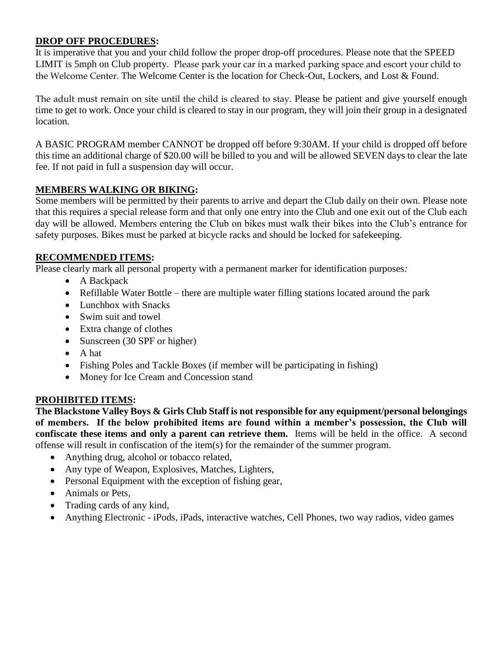## **DROP OFF PROCEDURES:**

It is imperative that you and your child follow the proper drop-off procedures. Please note that the SPEED LIMIT is 5mph on Club property. Please park your car in a marked parking space and escort your child to the Welcome Center. The Welcome Center is the location for Check-Out, Lockers, and Lost & Found.

The adult must remain on site until the child is cleared to stay. Please be patient and give yourself enough time to get to work. Once your child is cleared to stay in our program, they will join their group in a designated location.

A BASIC PROGRAM member CANNOT be dropped off before 9:30AM. If your child is dropped off before this time an additional charge of \$20.00 will be billed to you and will be allowed SEVEN days to clear the late fee. If not paid in full a suspension day will occur.

### **MEMBERS WALKING OR BIKING:**

Some members will be permitted by their parents to arrive and depart the Club daily on their own. Please note that this requires a special release form and that only one entry into the Club and one exit out of the Club each day will be allowed. Members entering the Club on bikes must walk their bikes into the Club's entrance for safety purposes. Bikes must be parked at bicycle racks and should be locked for safekeeping.

#### **RECOMMENDED ITEMS:**

Please clearly mark all personal property with a permanent marker for identification purposes*:*

- A Backpack
- Refillable Water Bottle there are multiple water filling stations located around the park
- Lunchbox with Snacks
- Swim suit and towel
- Extra change of clothes
- Sunscreen (30 SPF or higher)
- A hat
- Fishing Poles and Tackle Boxes (if member will be participating in fishing)
- Money for Ice Cream and Concession stand

#### **PROHIBITED ITEMS:**

**The Blackstone Valley Boys & Girls Club Staff is not responsible for any equipment/personal belongings of members. If the below prohibited items are found within a member's possession, the Club will confiscate these items and only a parent can retrieve them.** Items will be held in the office. A second offense will result in confiscation of the item(s) for the remainder of the summer program.

- Anything drug, alcohol or tobacco related,
- Any type of Weapon, Explosives, Matches, Lighters,
- Personal Equipment with the exception of fishing gear,
- Animals or Pets,
- Trading cards of any kind,
- Anything Electronic iPods, iPads, interactive watches, Cell Phones, two way radios, video games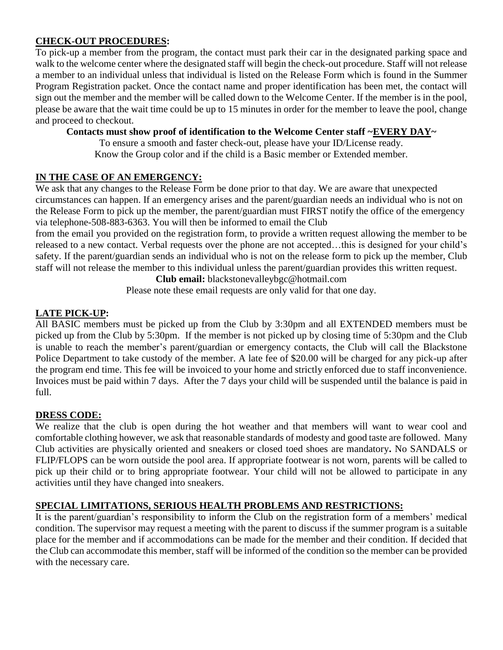# **CHECK-OUT PROCEDURES:**

To pick-up a member from the program, the contact must park their car in the designated parking space and walk to the welcome center where the designated staff will begin the check-out procedure. Staff will not release a member to an individual unless that individual is listed on the Release Form which is found in the Summer Program Registration packet. Once the contact name and proper identification has been met, the contact will sign out the member and the member will be called down to the Welcome Center. If the member is in the pool, please be aware that the wait time could be up to 15 minutes in order for the member to leave the pool, change and proceed to checkout.

#### **Contacts must show proof of identification to the Welcome Center staff ~EVERY DAY~**

To ensure a smooth and faster check-out, please have your ID/License ready. Know the Group color and if the child is a Basic member or Extended member.

### **IN THE CASE OF AN EMERGENCY:**

We ask that any changes to the Release Form be done prior to that day. We are aware that unexpected circumstances can happen. If an emergency arises and the parent/guardian needs an individual who is not on the Release Form to pick up the member, the parent/guardian must FIRST notify the office of the emergency via telephone-508-883-6363. You will then be informed to email the Club

from the email you provided on the registration form, to provide a written request allowing the member to be released to a new contact. Verbal requests over the phone are not accepted…this is designed for your child's safety. If the parent/guardian sends an individual who is not on the release form to pick up the member, Club staff will not release the member to this individual unless the parent/guardian provides this written request.

**Club email:** blackstonevalleybgc@hotmail.com

Please note these email requests are only valid for that one day.

### **LATE PICK-UP:**

All BASIC members must be picked up from the Club by 3:30pm and all EXTENDED members must be picked up from the Club by 5:30pm. If the member is not picked up by closing time of 5:30pm and the Club is unable to reach the member's parent/guardian or emergency contacts, the Club will call the Blackstone Police Department to take custody of the member. A late fee of \$20.00 will be charged for any pick-up after the program end time. This fee will be invoiced to your home and strictly enforced due to staff inconvenience. Invoices must be paid within 7 days. After the 7 days your child will be suspended until the balance is paid in full.

#### **DRESS CODE:**

We realize that the club is open during the hot weather and that members will want to wear cool and comfortable clothing however, we ask that reasonable standards of modesty and good taste are followed. Many Club activities are physically oriented and sneakers or closed toed shoes are mandatory**.** No SANDALS or FLIP/FLOPS can be worn outside the pool area. If appropriate footwear is not worn, parents will be called to pick up their child or to bring appropriate footwear. Your child will not be allowed to participate in any activities until they have changed into sneakers.

# **SPECIAL LIMITATIONS, SERIOUS HEALTH PROBLEMS AND RESTRICTIONS:**

It is the parent/guardian's responsibility to inform the Club on the registration form of a members' medical condition. The supervisor may request a meeting with the parent to discuss if the summer program is a suitable place for the member and if accommodations can be made for the member and their condition. If decided that the Club can accommodate this member, staff will be informed of the condition so the member can be provided with the necessary care.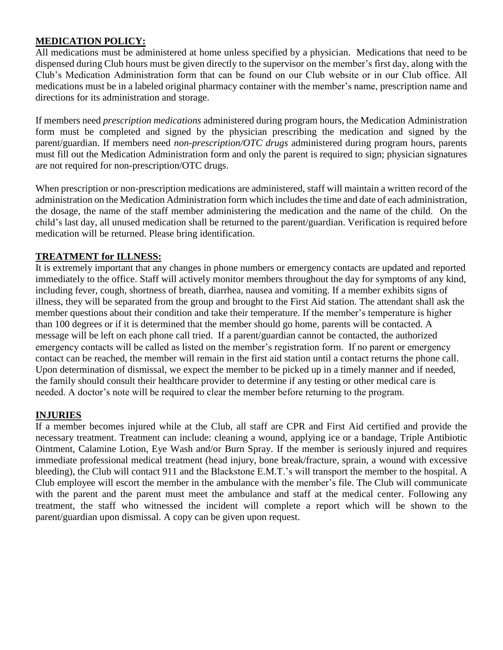# **MEDICATION POLICY:**

All medications must be administered at home unless specified by a physician. Medications that need to be dispensed during Club hours must be given directly to the supervisor on the member's first day, along with the Club's Medication Administration form that can be found on our Club website or in our Club office. All medications must be in a labeled original pharmacy container with the member's name, prescription name and directions for its administration and storage.

If members need *prescription medications* administered during program hours, the Medication Administration form must be completed and signed by the physician prescribing the medication and signed by the parent/guardian. If members need *non-prescription/OTC drugs* administered during program hours, parents must fill out the Medication Administration form and only the parent is required to sign; physician signatures are not required for non-prescription/OTC drugs.

When prescription or non-prescription medications are administered, staff will maintain a written record of the administration on the Medication Administration form which includes the time and date of each administration, the dosage, the name of the staff member administering the medication and the name of the child. On the child's last day, all unused medication shall be returned to the parent/guardian. Verification is required before medication will be returned. Please bring identification.

#### **TREATMENT for ILLNESS:**

It is extremely important that any changes in phone numbers or emergency contacts are updated and reported immediately to the office. Staff will actively monitor members throughout the day for symptoms of any kind, including fever, cough, shortness of breath, diarrhea, nausea and vomiting. If a member exhibits signs of illness, they will be separated from the group and brought to the First Aid station. The attendant shall ask the member questions about their condition and take their temperature. If the member's temperature is higher than 100 degrees or if it is determined that the member should go home, parents will be contacted. A message will be left on each phone call tried. If a parent/guardian cannot be contacted, the authorized emergency contacts will be called as listed on the member's registration form. If no parent or emergency contact can be reached, the member will remain in the first aid station until a contact returns the phone call. Upon determination of dismissal, we expect the member to be picked up in a timely manner and if needed, the family should consult their healthcare provider to determine if any testing or other medical care is needed. A doctor's note will be required to clear the member before returning to the program.

#### **INJURIES**

If a member becomes injured while at the Club, all staff are CPR and First Aid certified and provide the necessary treatment. Treatment can include: cleaning a wound, applying ice or a bandage, Triple Antibiotic Ointment, Calamine Lotion, Eye Wash and/or Burn Spray. If the member is seriously injured and requires immediate professional medical treatment (head injury, bone break/fracture, sprain, a wound with excessive bleeding), the Club will contact 911 and the Blackstone E.M.T.'s will transport the member to the hospital. A Club employee will escort the member in the ambulance with the member's file. The Club will communicate with the parent and the parent must meet the ambulance and staff at the medical center. Following any treatment, the staff who witnessed the incident will complete a report which will be shown to the parent/guardian upon dismissal. A copy can be given upon request.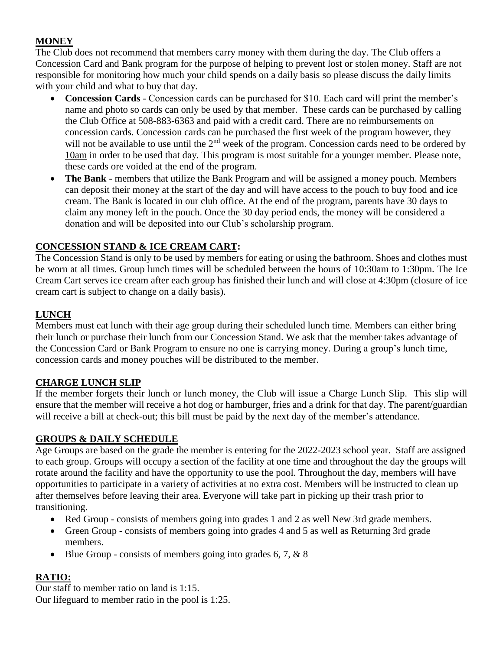# **MONEY**

The Club does not recommend that members carry money with them during the day. The Club offers a Concession Card and Bank program for the purpose of helping to prevent lost or stolen money. Staff are not responsible for monitoring how much your child spends on a daily basis so please discuss the daily limits with your child and what to buy that day.

- **Concession Cards** Concession cards can be purchased for \$10. Each card will print the member's name and photo so cards can only be used by that member. These cards can be purchased by calling the Club Office at 508-883-6363 and paid with a credit card. There are no reimbursements on concession cards. Concession cards can be purchased the first week of the program however, they will not be available to use until the 2<sup>nd</sup> week of the program. Concession cards need to be ordered by 10am in order to be used that day. This program is most suitable for a younger member. Please note, these cards ore voided at the end of the program.
- **The Bank** members that utilize the Bank Program and will be assigned a money pouch. Members can deposit their money at the start of the day and will have access to the pouch to buy food and ice cream. The Bank is located in our club office. At the end of the program, parents have 30 days to claim any money left in the pouch. Once the 30 day period ends, the money will be considered a donation and will be deposited into our Club's scholarship program.

# **CONCESSION STAND & ICE CREAM CART:**

The Concession Stand is only to be used by members for eating or using the bathroom. Shoes and clothes must be worn at all times. Group lunch times will be scheduled between the hours of 10:30am to 1:30pm. The Ice Cream Cart serves ice cream after each group has finished their lunch and will close at 4:30pm (closure of ice cream cart is subject to change on a daily basis).

# **LUNCH**

Members must eat lunch with their age group during their scheduled lunch time. Members can either bring their lunch or purchase their lunch from our Concession Stand. We ask that the member takes advantage of the Concession Card or Bank Program to ensure no one is carrying money. During a group's lunch time, concession cards and money pouches will be distributed to the member.

# **CHARGE LUNCH SLIP**

If the member forgets their lunch or lunch money, the Club will issue a Charge Lunch Slip. This slip will ensure that the member will receive a hot dog or hamburger, fries and a drink for that day. The parent/guardian will receive a bill at check-out; this bill must be paid by the next day of the member's attendance.

# **GROUPS & DAILY SCHEDULE**

Age Groups are based on the grade the member is entering for the 2022-2023 school year. Staff are assigned to each group. Groups will occupy a section of the facility at one time and throughout the day the groups will rotate around the facility and have the opportunity to use the pool. Throughout the day, members will have opportunities to participate in a variety of activities at no extra cost. Members will be instructed to clean up after themselves before leaving their area. Everyone will take part in picking up their trash prior to transitioning.

- Red Group consists of members going into grades 1 and 2 as well New 3rd grade members.
- Green Group consists of members going into grades 4 and 5 as well as Returning 3rd grade members.
- Blue Group consists of members going into grades  $6, 7, \& 8$

# **RATIO:**

Our staff to member ratio on land is 1:15. Our lifeguard to member ratio in the pool is 1:25.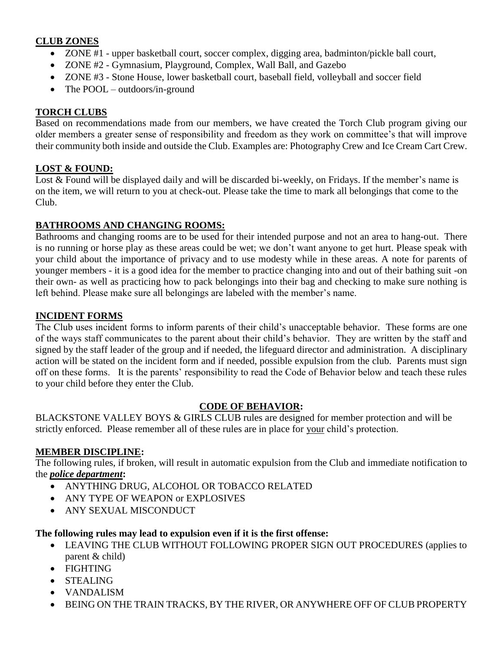# **CLUB ZONES**

- ZONE #1 upper basketball court, soccer complex, digging area, badminton/pickle ball court,
- ZONE #2 Gymnasium, Playground, Complex, Wall Ball, and Gazebo
- ZONE #3 Stone House, lower basketball court, baseball field, volleyball and soccer field
- The POOL outdoors/in-ground

# **TORCH CLUBS**

Based on recommendations made from our members, we have created the Torch Club program giving our older members a greater sense of responsibility and freedom as they work on committee's that will improve their community both inside and outside the Club. Examples are: Photography Crew and Ice Cream Cart Crew.

# **LOST & FOUND:**

Lost & Found will be displayed daily and will be discarded bi-weekly, on Fridays. If the member's name is on the item, we will return to you at check-out. Please take the time to mark all belongings that come to the Club.

# **BATHROOMS AND CHANGING ROOMS:**

Bathrooms and changing rooms are to be used for their intended purpose and not an area to hang-out. There is no running or horse play as these areas could be wet; we don't want anyone to get hurt. Please speak with your child about the importance of privacy and to use modesty while in these areas. A note for parents of younger members - it is a good idea for the member to practice changing into and out of their bathing suit -on their own- as well as practicing how to pack belongings into their bag and checking to make sure nothing is left behind. Please make sure all belongings are labeled with the member's name.

### **INCIDENT FORMS**

The Club uses incident forms to inform parents of their child's unacceptable behavior. These forms are one of the ways staff communicates to the parent about their child's behavior. They are written by the staff and signed by the staff leader of the group and if needed, the lifeguard director and administration. A disciplinary action will be stated on the incident form and if needed, possible expulsion from the club. Parents must sign off on these forms. It is the parents' responsibility to read the Code of Behavior below and teach these rules to your child before they enter the Club.

#### **CODE OF BEHAVIOR:**

BLACKSTONE VALLEY BOYS & GIRLS CLUB rules are designed for member protection and will be strictly enforced. Please remember all of these rules are in place for your child's protection.

# **MEMBER DISCIPLINE:**

The following rules, if broken, will result in automatic expulsion from the Club and immediate notification to the *police department***:**

- ANYTHING DRUG, ALCOHOL OR TOBACCO RELATED
- ANY TYPE OF WEAPON or EXPLOSIVES
- ANY SEXUAL MISCONDUCT

# **The following rules may lead to expulsion even if it is the first offense:**

- LEAVING THE CLUB WITHOUT FOLLOWING PROPER SIGN OUT PROCEDURES (applies to parent & child)
- FIGHTING
- STEALING
- VANDALISM
- BEING ON THE TRAIN TRACKS, BY THE RIVER, OR ANYWHERE OFF OF CLUB PROPERTY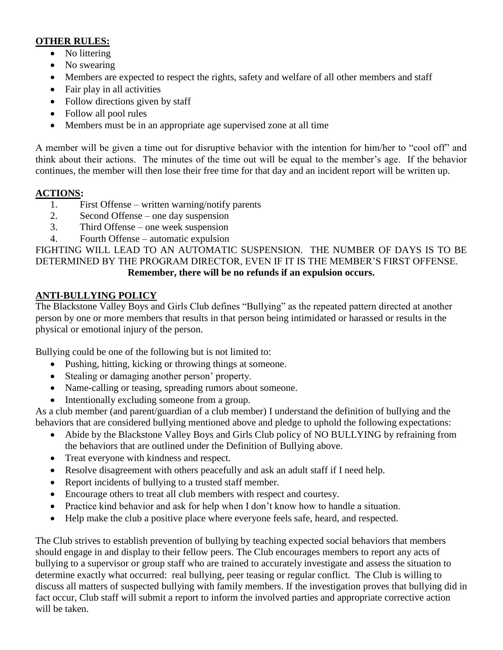# **OTHER RULES:**

- No littering
- No swearing
- Members are expected to respect the rights, safety and welfare of all other members and staff
- Fair play in all activities
- Follow directions given by staff
- Follow all pool rules
- Members must be in an appropriate age supervised zone at all time

A member will be given a time out for disruptive behavior with the intention for him/her to "cool off" and think about their actions. The minutes of the time out will be equal to the member's age. If the behavior continues, the member will then lose their free time for that day and an incident report will be written up.

# **ACTIONS:**

- 1. First Offense written warning/notify parents
- 2. Second Offense one day suspension
- 3. Third Offense one week suspension
- 4. Fourth Offense automatic expulsion

FIGHTING WILL LEAD TO AN AUTOMATIC SUSPENSION. THE NUMBER OF DAYS IS TO BE DETERMINED BY THE PROGRAM DIRECTOR, EVEN IF IT IS THE MEMBER'S FIRST OFFENSE. **Remember, there will be no refunds if an expulsion occurs.**

# **ANTI-BULLYING POLICY**

The Blackstone Valley Boys and Girls Club defines "Bullying" as the repeated pattern directed at another person by one or more members that results in that person being intimidated or harassed or results in the physical or emotional injury of the person.

Bullying could be one of the following but is not limited to:

- Pushing, hitting, kicking or throwing things at someone.
- Stealing or damaging another person' property.
- Name-calling or teasing, spreading rumors about someone.
- Intentionally excluding someone from a group.

As a club member (and parent/guardian of a club member) I understand the definition of bullying and the behaviors that are considered bullying mentioned above and pledge to uphold the following expectations:

- Abide by the Blackstone Valley Boys and Girls Club policy of NO BULLYING by refraining from the behaviors that are outlined under the Definition of Bullying above.
- Treat everyone with kindness and respect.
- Resolve disagreement with others peacefully and ask an adult staff if I need help.
- Report incidents of bullying to a trusted staff member.
- Encourage others to treat all club members with respect and courtesy.
- Practice kind behavior and ask for help when I don't know how to handle a situation.
- Help make the club a positive place where everyone feels safe, heard, and respected.

The Club strives to establish prevention of bullying by teaching expected social behaviors that members should engage in and display to their fellow peers. The Club encourages members to report any acts of bullying to a supervisor or group staff who are trained to accurately investigate and assess the situation to determine exactly what occurred: real bullying, peer teasing or regular conflict. The Club is willing to discuss all matters of suspected bullying with family members. If the investigation proves that bullying did in fact occur, Club staff will submit a report to inform the involved parties and appropriate corrective action will be taken.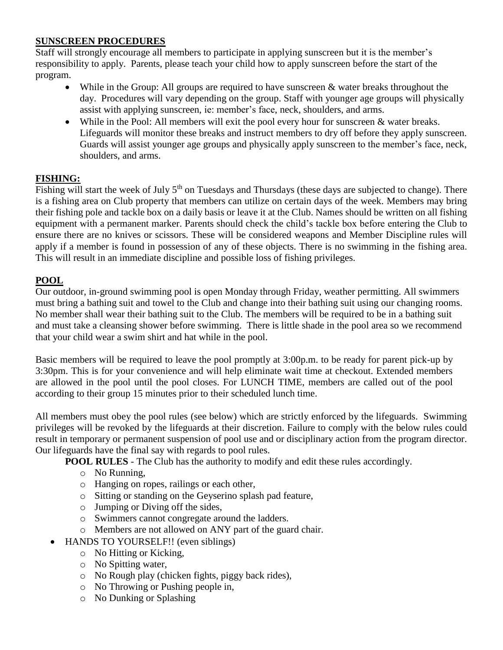### **SUNSCREEN PROCEDURES**

Staff will strongly encourage all members to participate in applying sunscreen but it is the member's responsibility to apply. Parents, please teach your child how to apply sunscreen before the start of the program.

- While in the Group: All groups are required to have sunscreen & water breaks throughout the day. Procedures will vary depending on the group. Staff with younger age groups will physically assist with applying sunscreen, ie: member's face, neck, shoulders, and arms.
- While in the Pool: All members will exit the pool every hour for sunscreen & water breaks. Lifeguards will monitor these breaks and instruct members to dry off before they apply sunscreen. Guards will assist younger age groups and physically apply sunscreen to the member's face, neck, shoulders, and arms.

# **FISHING:**

Fishing will start the week of July  $5<sup>th</sup>$  on Tuesdays and Thursdays (these days are subjected to change). There is a fishing area on Club property that members can utilize on certain days of the week. Members may bring their fishing pole and tackle box on a daily basis or leave it at the Club. Names should be written on all fishing equipment with a permanent marker. Parents should check the child's tackle box before entering the Club to ensure there are no knives or scissors. These will be considered weapons and Member Discipline rules will apply if a member is found in possession of any of these objects. There is no swimming in the fishing area. This will result in an immediate discipline and possible loss of fishing privileges.

# **POOL**

Our outdoor, in-ground swimming pool is open Monday through Friday, weather permitting. All swimmers must bring a bathing suit and towel to the Club and change into their bathing suit using our changing rooms. No member shall wear their bathing suit to the Club. The members will be required to be in a bathing suit and must take a cleansing shower before swimming. There is little shade in the pool area so we recommend that your child wear a swim shirt and hat while in the pool.

Basic members will be required to leave the pool promptly at 3:00p.m. to be ready for parent pick-up by 3:30pm. This is for your convenience and will help eliminate wait time at checkout. Extended members are allowed in the pool until the pool closes. For LUNCH TIME, members are called out of the pool according to their group 15 minutes prior to their scheduled lunch time.

All members must obey the pool rules (see below) which are strictly enforced by the lifeguards. Swimming privileges will be revoked by the lifeguards at their discretion. Failure to comply with the below rules could result in temporary or permanent suspension of pool use and or disciplinary action from the program director. Our lifeguards have the final say with regards to pool rules.

**POOL RULES** - The Club has the authority to modify and edit these rules accordingly.

- o No Running,
- o Hanging on ropes, railings or each other,
- o Sitting or standing on the Geyserino splash pad feature,
- o Jumping or Diving off the sides,
- o Swimmers cannot congregate around the ladders.
- o Members are not allowed on ANY part of the guard chair.
- HANDS TO YOURSELF!! (even siblings)
	- o No Hitting or Kicking,
	- o No Spitting water,
	- o No Rough play (chicken fights, piggy back rides),
	- o No Throwing or Pushing people in,
	- o No Dunking or Splashing